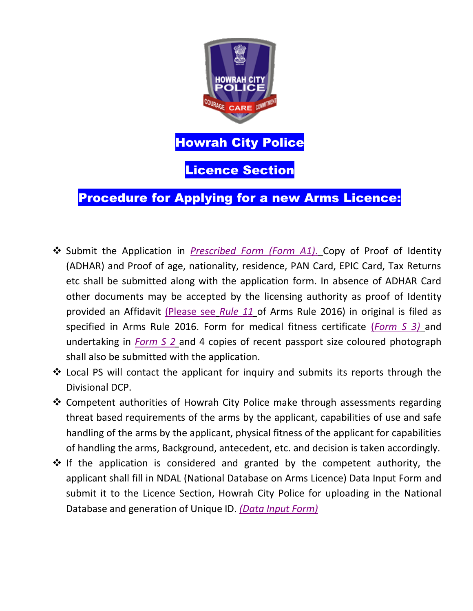

# Procedure for Applying for a new Arms Licence:

- Submit the Application in *Prescribed Form (Form A1)*. Copy of Proof of Identity (ADHAR) and Proof of age, nationality, residence, PAN Card, EPIC Card, Tax Returns etc shall be submitted along with the application form. In absence of ADHAR Card other documents may be accepted by the licensing authority as proof of Identity provided an Affidavit (Please see *Rule 11* of Arms Rule 2016) in original is filed as specified in Arms Rule 2016. Form for medical fitness certificate (*Form S 3)* and undertaking in *Form S 2* and 4 copies of recent passport size coloured photograph shall also be submitted with the application.
- $\triangle$  Local PS will contact the applicant for inquiry and submits its reports through the Divisional DCP.
- ❖ Competent authorities of Howrah City Police make through assessments regarding threat based requirements of the arms by the applicant, capabilities of use and safe handling of the arms by the applicant, physical fitness of the applicant for capabilities of handling the arms, Background, antecedent, etc. and decision is taken accordingly.
- $\cdot$  If the application is considered and granted by the competent authority, the applicant shall fill in NDAL (National Database on Arms Licence) Data Input Form and submit it to the Licence Section, Howrah City Police for uploading in the National Database and generation of Unique ID. *(Data Input Form)*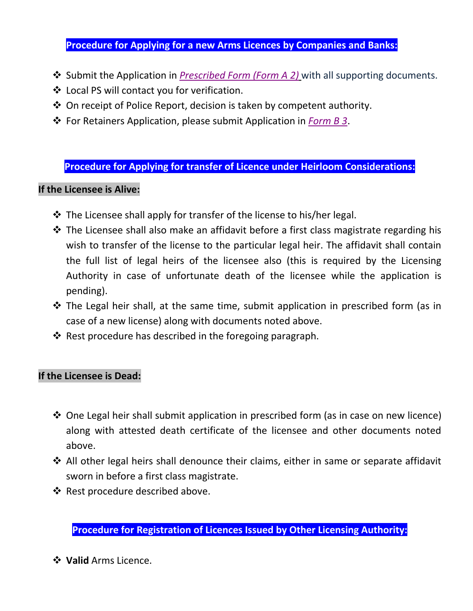## **Procedure for Applying for a new Arms Licences by Companies and Banks:**

- **❖** Submit the Application in *Prescribed Form (Form A 2)* with all supporting documents.
- Local PS will contact you for verification.
- $\triangle$  On receipt of Police Report, decision is taken by competent authority.
- For Retainers Application, please submit Application in *Form B 3*.

#### **Procedure for Applying for transfer of Licence under Heirloom Considerations:**

#### **If the Licensee is Alive:**

- $\cdot$  The Licensee shall apply for transfer of the license to his/her legal.
- The Licensee shall also make an affidavit before a first class magistrate regarding his wish to transfer of the license to the particular legal heir. The affidavit shall contain the full list of legal heirs of the licensee also (this is required by the Licensing Authority in case of unfortunate death of the licensee while the application is pending).
- $\cdot$  The Legal heir shall, at the same time, submit application in prescribed form (as in case of a new license) along with documents noted above.
- $\triangle$  Rest procedure has described in the foregoing paragraph.

#### **If the Licensee is Dead:**

- ◆ One Legal heir shall submit application in prescribed form (as in case on new licence) along with attested death certificate of the licensee and other documents noted above.
- ❖ All other legal heirs shall denounce their claims, either in same or separate affidavit sworn in before a first class magistrate.
- $\triangleleft$  Rest procedure described above.

**Procedure for Registration of Licences Issued by Other Licensing Authority:**

**Valid** Arms Licence.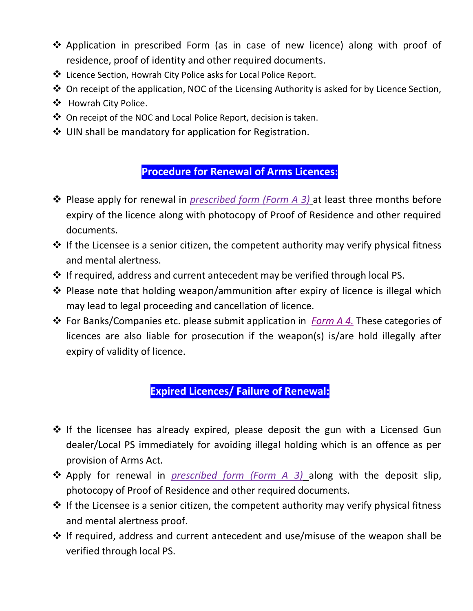- Application in prescribed Form (as in case of new licence) along with proof of residence, proof of identity and other required documents.
- Licence Section, Howrah City Police asks for Local Police Report.
- ◆ On receipt of the application, NOC of the Licensing Authority is asked for by Licence Section,
- ❖ Howrah City Police.
- On receipt of the NOC and Local Police Report, decision is taken.
- ❖ UIN shall be mandatory for application for Registration.

## **Procedure for Renewal of Arms Licences:**

- Please apply for renewal in *prescribed form (Form A 3)* at least three months before expiry of the licence along with photocopy of Proof of Residence and other required documents.
- $\cdot$  If the Licensee is a senior citizen, the competent authority may verify physical fitness and mental alertness.
- $\cdot$  If required, address and current antecedent may be verified through local PS.
- ◆ Please note that holding weapon/ammunition after expiry of licence is illegal which may lead to legal proceeding and cancellation of licence.
- For Banks/Companies etc. please submit application in *Form A 4.* These categories of licences are also liable for prosecution if the weapon(s) is/are hold illegally after expiry of validity of licence.

## **Expired Licences/ Failure of Renewal:**

- ❖ If the licensee has already expired, please deposit the gun with a Licensed Gun dealer/Local PS immediately for avoiding illegal holding which is an offence as per provision of Arms Act.
- Apply for renewal in *prescribed form (Form A 3)* along with the deposit slip, photocopy of Proof of Residence and other required documents.
- $\cdot$  If the Licensee is a senior citizen, the competent authority may verify physical fitness and mental alertness proof.
- If required, address and current antecedent and use/misuse of the weapon shall be verified through local PS.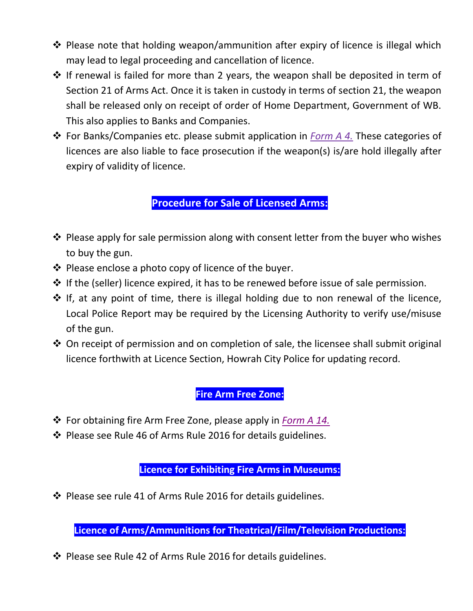- $\cdot$  Please note that holding weapon/ammunition after expiry of licence is illegal which may lead to legal proceeding and cancellation of licence.
- $\cdot$  If renewal is failed for more than 2 years, the weapon shall be deposited in term of Section 21 of Arms Act. Once it is taken in custody in terms of section 21, the weapon shall be released only on receipt of order of Home Department, Government of WB. This also applies to Banks and Companies.
- For Banks/Companies etc. please submit application in *Form A 4.* These categories of licences are also liable to face prosecution if the weapon(s) is/are hold illegally after expiry of validity of licence.

## **Procedure for Sale of Licensed Arms:**

- $\cdot$  Please apply for sale permission along with consent letter from the buyer who wishes to buy the gun.
- $\triangle$  Please enclose a photo copy of licence of the buyer.
- $\cdot$  If the (seller) licence expired, it has to be renewed before issue of sale permission.
- $\cdot \cdot$  If, at any point of time, there is illegal holding due to non renewal of the licence, Local Police Report may be required by the Licensing Authority to verify use/misuse of the gun.
- $\triangle$  On receipt of permission and on completion of sale, the licensee shall submit original licence forthwith at Licence Section, Howrah City Police for updating record.

## **Fire Arm Free Zone:**

- For obtaining fire Arm Free Zone, please apply in *Form A 14.*
- Please see Rule 46 of Arms Rule 2016 for details guidelines.

**Licence for Exhibiting Fire Arms in Museums:**

 $\cdot$  Please see rule 41 of Arms Rule 2016 for details guidelines.

**Licence of Arms/Ammunitions for Theatrical/Film/Television Productions:**

Please see Rule 42 of Arms Rule 2016 for details guidelines.